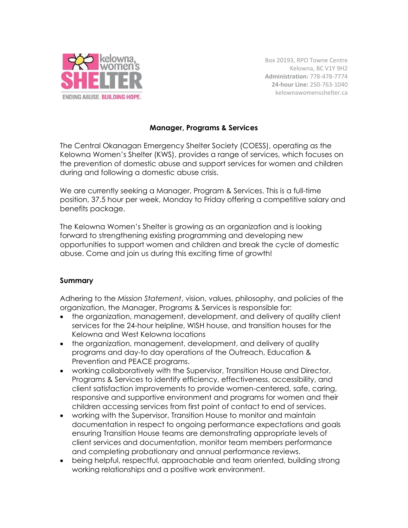

Box 20193, RPO Towne Centre Kelowna, BC V1Y 9H2 **Administration:** 778-478-7774 **24-hour Line:** 250-763-1040 kelownawomensshelter.ca

## **Manager, Programs & Services**

The Central Okanagan Emergency Shelter Society (COESS), operating as the Kelowna Women's Shelter (KWS), provides a range of services, which focuses on the prevention of domestic abuse and support services for women and children during and following a domestic abuse crisis.

We are currently seeking a Manager, Program & Services. This is a full-time position, 37.5 hour per week, Monday to Friday offering a competitive salary and benefits package.

The Kelowna Women's Shelter is growing as an organization and is looking forward to strengthening existing programming and developing new opportunities to support women and children and break the cycle of domestic abuse. Come and join us during this exciting time of growth!

## **Summary**

Adhering to the *Mission Statement*, vision, values, philosophy, and policies of the organization, the Manager, Programs & Services is responsible for:

- the organization, management, development, and delivery of quality client services for the 24-hour helpline, WISH house, and transition houses for the Kelowna and West Kelowna locations
- the organization, management, development, and delivery of quality programs and day-to day operations of the Outreach, Education & Prevention and PEACE programs.
- working collaboratively with the Supervisor, Transition House and Director, Programs & Services to identify efficiency, effectiveness, accessibility, and client satisfaction improvements to provide women-centered, safe, caring, responsive and supportive environment and programs for women and their children accessing services from first point of contact to end of services.
- working with the Supervisor, Transition House to monitor and maintain documentation in respect to ongoing performance expectations and goals ensuring Transition House teams are demonstrating appropriate levels of client services and documentation, monitor team members performance and completing probationary and annual performance reviews.
- being helpful, respectful, approachable and team oriented, building strong working relationships and a positive work environment.